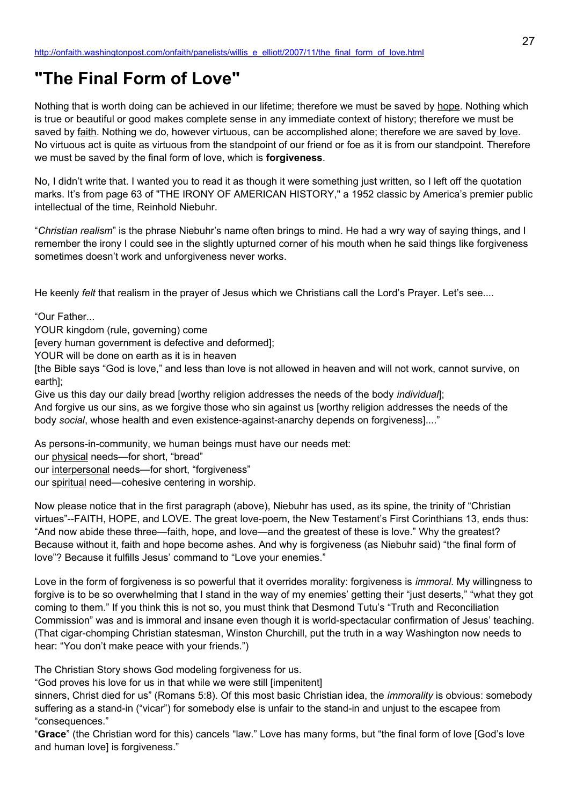# **"The Final Form of Love"**

Nothing that is worth doing can be achieved in our lifetime; therefore we must be saved by hope. Nothing which is true or beautiful or good makes complete sense in any immediate context of history; therefore we must be saved by faith. Nothing we do, however virtuous, can be accomplished alone; therefore we are saved by love. No virtuous act is quite as virtuous from the standpoint of our friend or foe as it is from our standpoint. Therefore we must be saved by the final form of love, which is **forgiveness**.

No, I didn't write that. I wanted you to read it as though it were something just written, so I left off the quotation marks. It's from page 63 of "THE IRONY OF AMERICAN HISTORY," a 1952 classic by America's premier public intellectual of the time, Reinhold Niebuhr.

"*Christian realism*" is the phrase Niebuhr's name often brings to mind. He had a wry way of saying things, and I remember the irony I could see in the slightly upturned corner of his mouth when he said things like forgiveness sometimes doesn't work and unforgiveness never works.

He keenly *felt* that realism in the prayer of Jesus which we Christians call the Lord's Prayer. Let's see....

"Our Father...

YOUR kingdom (rule, governing) come

[every human government is defective and deformed];

YOUR will be done on earth as it is in heaven

[the Bible says "God is love," and less than love is not allowed in heaven and will not work, cannot survive, on earth];

Give us this day our daily bread [worthy religion addresses the needs of the body *individual*];

And forgive us our sins, as we forgive those who sin against us [worthy religion addresses the needs of the body *social*, whose health and even existence-against-anarchy depends on forgiveness]...."

As persons-in-community, we human beings must have our needs met:

our physical needs—for short, "bread"

our interpersonal needs—for short, "forgiveness"

our spiritual need—cohesive centering in worship.

Now please notice that in the first paragraph (above), Niebuhr has used, as its spine, the trinity of "Christian virtues"--FAITH, HOPE, and LOVE. The great love-poem, the New Testament's First Corinthians 13, ends thus: "And now abide these three—faith, hope, and love—and the greatest of these is love." Why the greatest? Because without it, faith and hope become ashes. And why is forgiveness (as Niebuhr said) "the final form of love"? Because it fulfills Jesus' command to "Love your enemies."

Love in the form of forgiveness is so powerful that it overrides morality: forgiveness is *immoral*. My willingness to forgive is to be so overwhelming that I stand in the way of my enemies' getting their "just deserts," "what they got coming to them." If you think this is not so, you must think that Desmond Tutu's "Truth and Reconciliation Commission" was and is immoral and insane even though it is world-spectacular confirmation of Jesus' teaching. (That cigar-chomping Christian statesman, Winston Churchill, put the truth in a way Washington now needs to hear: "You don't make peace with your friends.")

The Christian Story shows God modeling forgiveness for us.

"God proves his love for us in that while we were still [impenitent]

sinners, Christ died for us" (Romans 5:8). Of this most basic Christian idea, the *immorality* is obvious: somebody suffering as a stand-in ("vicar") for somebody else is unfair to the stand-in and unjust to the escapee from "consequences."

"**Grace**" (the Christian word for this) cancels "law." Love has many forms, but "the final form of love [God's love and human love] is forgiveness."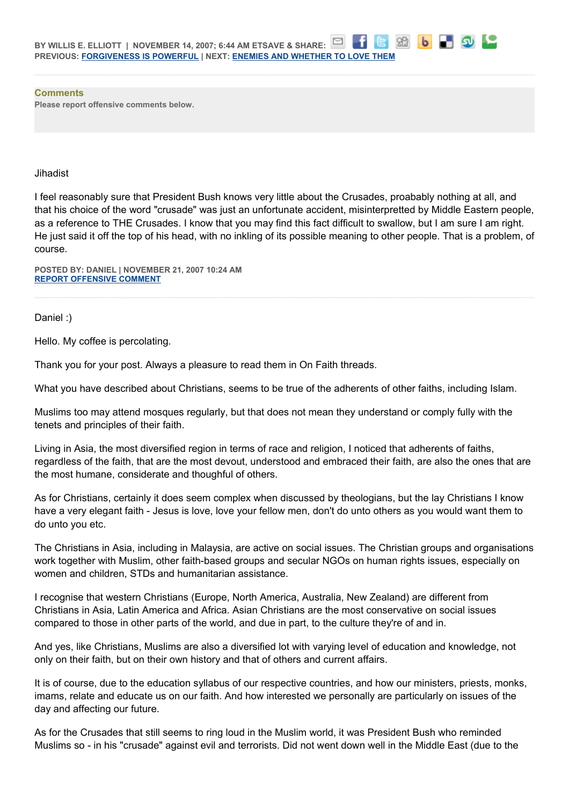**Comments Please report offensive comments below.**

#### **Jihadist**

I feel reasonably sure that President Bush knows very little about the Crusades, proabably nothing at all, and that his choice of the word "crusade" was just an unfortunate accident, misinterpretted by Middle Eastern people, as a reference to THE Crusades. I know that you may find this fact difficult to swallow, but I am sure I am right. He just said it off the top of his head, with no inkling of its possible meaning to other people. That is a problem, of course.

86

 $\mathbf{b}$ 

**POSTED BY: DANIEL | NOVEMBER 21, 2007 10:24 AM [REPORT OFFENSIVE COMMENT](mailto:blogs@washingtonpost.com?subject=On%20Faith%20Panelists%20Blog%20%20%7C%20%20Daniel%20%20%7C%20%20)**

Daniel :)

Hello. My coffee is percolating.

Thank you for your post. Always a pleasure to read them in On Faith threads.

What you have described about Christians, seems to be true of the adherents of other faiths, including Islam.

Muslims too may attend mosques regularly, but that does not mean they understand or comply fully with the tenets and principles of their faith.

Living in Asia, the most diversified region in terms of race and religion, I noticed that adherents of faiths, regardless of the faith, that are the most devout, understood and embraced their faith, are also the ones that are the most humane, considerate and thoughful of others.

As for Christians, certainly it does seem complex when discussed by theologians, but the lay Christians I know have a very elegant faith - Jesus is love, love your fellow men, don't do unto others as you would want them to do unto you etc.

The Christians in Asia, including in Malaysia, are active on social issues. The Christian groups and organisations work together with Muslim, other faith-based groups and secular NGOs on human rights issues, especially on women and children, STDs and humanitarian assistance.

I recognise that western Christians (Europe, North America, Australia, New Zealand) are different from Christians in Asia, Latin America and Africa. Asian Christians are the most conservative on social issues compared to those in other parts of the world, and due in part, to the culture they're of and in.

And yes, like Christians, Muslims are also a diversified lot with varying level of education and knowledge, not only on their faith, but on their own history and that of others and current affairs.

It is of course, due to the education syllabus of our respective countries, and how our ministers, priests, monks, imams, relate and educate us on our faith. And how interested we personally are particularly on issues of the day and affecting our future.

As for the Crusades that still seems to ring loud in the Muslim world, it was President Bush who reminded Muslims so - in his "crusade" against evil and terrorists. Did not went down well in the Middle East (due to the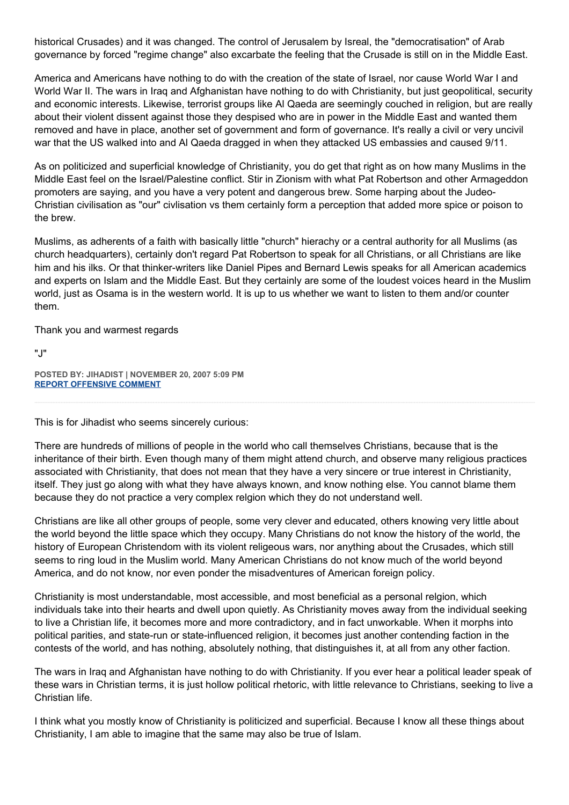historical Crusades) and it was changed. The control of Jerusalem by Isreal, the "democratisation" of Arab governance by forced "regime change" also excarbate the feeling that the Crusade is still on in the Middle East.

America and Americans have nothing to do with the creation of the state of Israel, nor cause World War I and World War II. The wars in Iraq and Afghanistan have nothing to do with Christianity, but just geopolitical, security and economic interests. Likewise, terrorist groups like Al Qaeda are seemingly couched in religion, but are really about their violent dissent against those they despised who are in power in the Middle East and wanted them removed and have in place, another set of government and form of governance. It's really a civil or very uncivil war that the US walked into and Al Qaeda dragged in when they attacked US embassies and caused 9/11.

As on politicized and superficial knowledge of Christianity, you do get that right as on how many Muslims in the Middle East feel on the Israel/Palestine conflict. Stir in Zionism with what Pat Robertson and other Armageddon promoters are saying, and you have a very potent and dangerous brew. Some harping about the Judeo-Christian civilisation as "our" civlisation vs them certainly form a perception that added more spice or poison to the brew.

Muslims, as adherents of a faith with basically little "church" hierachy or a central authority for all Muslims (as church headquarters), certainly don't regard Pat Robertson to speak for all Christians, or all Christians are like him and his ilks. Or that thinker-writers like Daniel Pipes and Bernard Lewis speaks for all American academics and experts on Islam and the Middle East. But they certainly are some of the loudest voices heard in the Muslim world, just as Osama is in the western world. It is up to us whether we want to listen to them and/or counter them.

Thank you and warmest regards

"J"

**POSTED BY: JIHADIST | NOVEMBER 20, 2007 5:09 PM [REPORT OFFENSIVE COMMENT](mailto:blogs@washingtonpost.com?subject=On%20Faith%20Panelists%20Blog%20%20%7C%20%20Jihadist%20%20%7C%20%20)**

This is for Jihadist who seems sincerely curious:

There are hundreds of millions of people in the world who call themselves Christians, because that is the inheritance of their birth. Even though many of them might attend church, and observe many religious practices associated with Christianity, that does not mean that they have a very sincere or true interest in Christianity, itself. They just go along with what they have always known, and know nothing else. You cannot blame them because they do not practice a very complex relgion which they do not understand well.

Christians are like all other groups of people, some very clever and educated, others knowing very little about the world beyond the little space which they occupy. Many Christians do not know the history of the world, the history of European Christendom with its violent religeous wars, nor anything about the Crusades, which still seems to ring loud in the Muslim world. Many American Christians do not know much of the world beyond America, and do not know, nor even ponder the misadventures of American foreign policy.

Christianity is most understandable, most accessible, and most beneficial as a personal relgion, which individuals take into their hearts and dwell upon quietly. As Christianity moves away from the individual seeking to live a Christian life, it becomes more and more contradictory, and in fact unworkable. When it morphs into political parities, and state-run or state-influenced religion, it becomes just another contending faction in the contests of the world, and has nothing, absolutely nothing, that distinguishes it, at all from any other faction.

The wars in Iraq and Afghanistan have nothing to do with Christianity. If you ever hear a political leader speak of these wars in Christian terms, it is just hollow political rhetoric, with little relevance to Christians, seeking to live a Christian life.

I think what you mostly know of Christianity is politicized and superficial. Because I know all these things about Christianity, I am able to imagine that the same may also be true of Islam.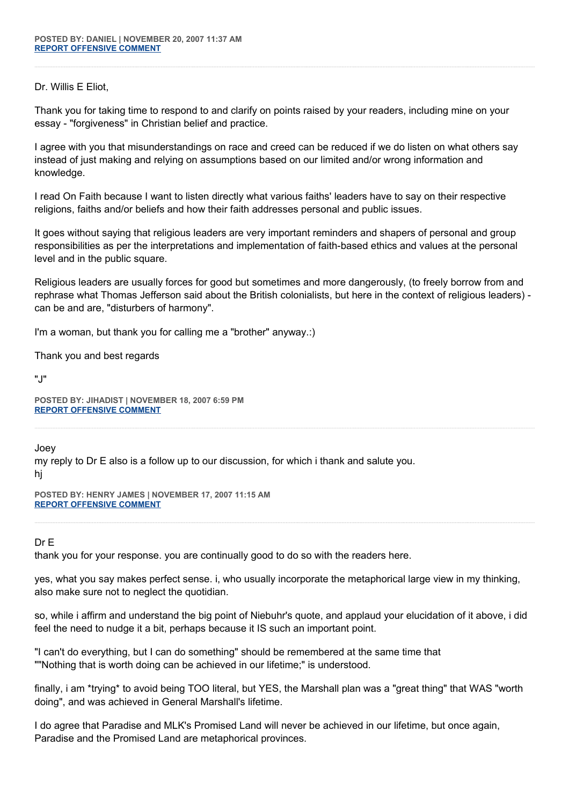## Dr. Willis E Eliot,

Thank you for taking time to respond to and clarify on points raised by your readers, including mine on your essay - "forgiveness" in Christian belief and practice.

I agree with you that misunderstandings on race and creed can be reduced if we do listen on what others say instead of just making and relying on assumptions based on our limited and/or wrong information and knowledge.

I read On Faith because I want to listen directly what various faiths' leaders have to say on their respective religions, faiths and/or beliefs and how their faith addresses personal and public issues.

It goes without saying that religious leaders are very important reminders and shapers of personal and group responsibilities as per the interpretations and implementation of faith-based ethics and values at the personal level and in the public square.

Religious leaders are usually forces for good but sometimes and more dangerously, (to freely borrow from and rephrase what Thomas Jefferson said about the British colonialists, but here in the context of religious leaders) can be and are, "disturbers of harmony".

I'm a woman, but thank you for calling me a "brother" anyway.:)

Thank you and best regards

"J"

**POSTED BY: JIHADIST | NOVEMBER 18, 2007 6:59 PM [REPORT OFFENSIVE COMMENT](mailto:blogs@washingtonpost.com?subject=On%20Faith%20Panelists%20Blog%20%20%7C%20%20Jihadist%20%20%7C%20%20)**

Joey

my reply to Dr E also is a follow up to our discussion, for which i thank and salute you. hj

**POSTED BY: HENRY JAMES | NOVEMBER 17, 2007 11:15 AM [REPORT OFFENSIVE COMMENT](mailto:blogs@washingtonpost.com?subject=On%20Faith%20Panelists%20Blog%20%20%7C%20%20Henry%20James%20%20%7C%20%20)**

# Dr E

thank you for your response. you are continually good to do so with the readers here.

yes, what you say makes perfect sense. i, who usually incorporate the metaphorical large view in my thinking, also make sure not to neglect the quotidian.

so, while i affirm and understand the big point of Niebuhr's quote, and applaud your elucidation of it above, i did feel the need to nudge it a bit, perhaps because it IS such an important point.

"I can't do everything, but I can do something" should be remembered at the same time that ""Nothing that is worth doing can be achieved in our lifetime;" is understood.

finally, i am \*trying\* to avoid being TOO literal, but YES, the Marshall plan was a "great thing" that WAS "worth doing", and was achieved in General Marshall's lifetime.

I do agree that Paradise and MLK's Promised Land will never be achieved in our lifetime, but once again, Paradise and the Promised Land are metaphorical provinces.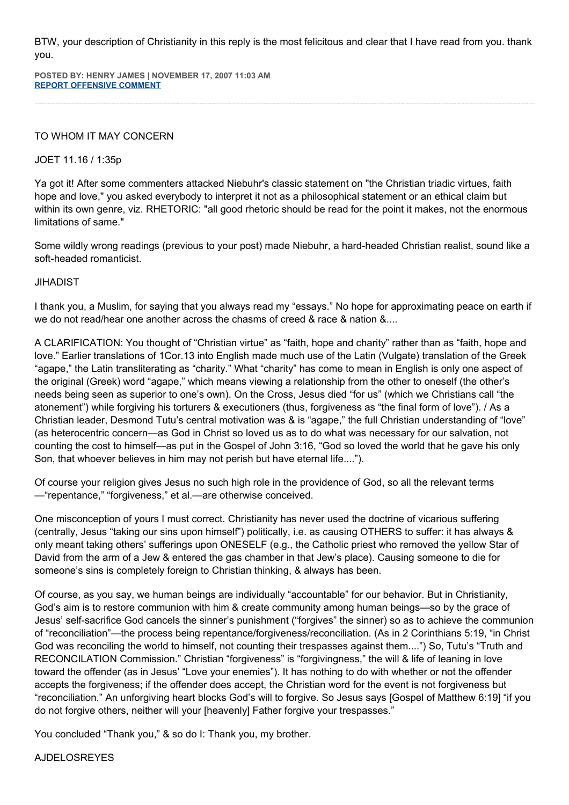BTW, your description of Christianity in this reply is the most felicitous and clear that I have read from you. thank you.

**POSTED BY: HENRY JAMES | NOVEMBER 17, 2007 11:03 AM [REPORT OFFENSIVE COMMENT](mailto:blogs@washingtonpost.com?subject=On%20Faith%20Panelists%20Blog%20%20%7C%20%20Henry%20james%20%20%7C%20%20)**

# TO WHOM IT MAY CONCERN

## JOET 11.16 / 1:35p

Ya got it! After some commenters attacked Niebuhr's classic statement on "the Christian triadic virtues, faith hope and love," you asked everybody to interpret it not as a philosophical statement or an ethical claim but within its own genre, viz. RHETORIC: "all good rhetoric should be read for the point it makes, not the enormous limitations of same."

Some wildly wrong readings (previous to your post) made Niebuhr, a hard-headed Christian realist, sound like a soft-headed romanticist.

#### JIHADIST

I thank you, a Muslim, for saying that you always read my "essays." No hope for approximating peace on earth if we do not read/hear one another across the chasms of creed & race & nation &....

A CLARIFICATION: You thought of "Christian virtue" as "faith, hope and charity" rather than as "faith, hope and love." Earlier translations of 1Cor.13 into English made much use of the Latin (Vulgate) translation of the Greek "agape," the Latin transliterating as "charity." What "charity" has come to mean in English is only one aspect of the original (Greek) word "agape," which means viewing a relationship from the other to oneself (the other's needs being seen as superior to one's own). On the Cross, Jesus died "for us" (which we Christians call "the atonement") while forgiving his torturers & executioners (thus, forgiveness as "the final form of love"). / As a Christian leader, Desmond Tutu's central motivation was & is "agape," the full Christian understanding of "love" (as heterocentric concern—as God in Christ so loved us as to do what was necessary for our salvation, not counting the cost to himself—as put in the Gospel of John 3:16, "God so loved the world that he gave his only Son, that whoever believes in him may not perish but have eternal life....").

Of course your religion gives Jesus no such high role in the providence of God, so all the relevant terms —"repentance," "forgiveness," et al.—are otherwise conceived.

One misconception of yours I must correct. Christianity has never used the doctrine of vicarious suffering (centrally, Jesus "taking our sins upon himself") politically, i.e. as causing OTHERS to suffer: it has always & only meant taking others' sufferings upon ONESELF (e.g., the Catholic priest who removed the yellow Star of David from the arm of a Jew & entered the gas chamber in that Jew's place). Causing someone to die for someone's sins is completely foreign to Christian thinking, & always has been.

Of course, as you say, we human beings are individually "accountable" for our behavior. But in Christianity, God's aim is to restore communion with him & create community among human beings—so by the grace of Jesus' self-sacrifice God cancels the sinner's punishment ("forgives" the sinner) so as to achieve the communion of "reconciliation"—the process being repentance/forgiveness/reconciliation. (As in 2 Corinthians 5:19, "in Christ God was reconciling the world to himself, not counting their trespasses against them....") So, Tutu's "Truth and RECONCILATION Commission." Christian "forgiveness" is "forgivingness," the will & life of leaning in love toward the offender (as in Jesus' "Love your enemies"). It has nothing to do with whether or not the offender accepts the forgiveness; if the offender does accept, the Christian word for the event is not forgiveness but "reconciliation." An unforgiving heart blocks God's will to forgive. So Jesus says [Gospel of Matthew 6:19] "if you do not forgive others, neither will your [heavenly] Father forgive your trespasses."

You concluded "Thank you," & so do I: Thank you, my brother.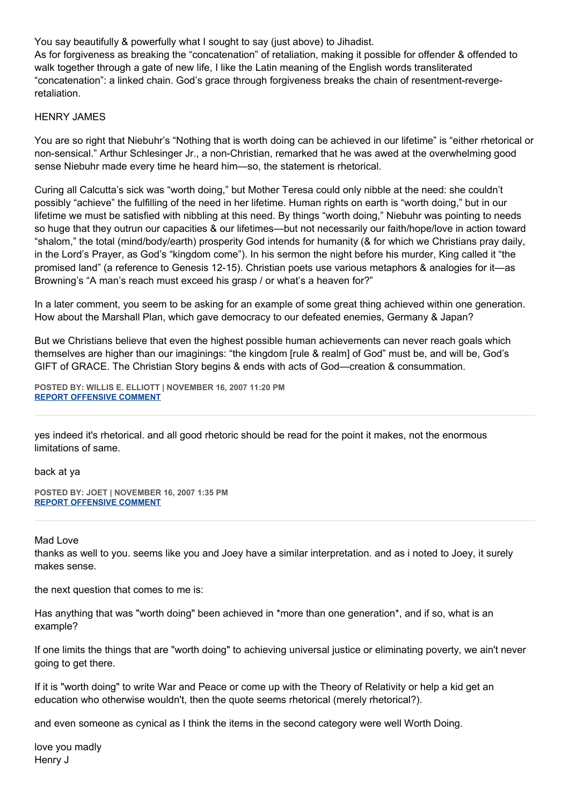You say beautifully & powerfully what I sought to say (just above) to Jihadist.

As for forgiveness as breaking the "concatenation" of retaliation, making it possible for offender & offended to walk together through a gate of new life, I like the Latin meaning of the English words transliterated "concatenation": a linked chain. God's grace through forgiveness breaks the chain of resentment-revergeretaliation.

## HENRY JAMES

You are so right that Niebuhr's "Nothing that is worth doing can be achieved in our lifetime" is "either rhetorical or non-sensical." Arthur Schlesinger Jr., a non-Christian, remarked that he was awed at the overwhelming good sense Niebuhr made every time he heard him—so, the statement is rhetorical.

Curing all Calcutta's sick was "worth doing," but Mother Teresa could only nibble at the need: she couldn't possibly "achieve" the fulfilling of the need in her lifetime. Human rights on earth is "worth doing," but in our lifetime we must be satisfied with nibbling at this need. By things "worth doing," Niebuhr was pointing to needs so huge that they outrun our capacities & our lifetimes—but not necessarily our faith/hope/love in action toward "shalom," the total (mind/body/earth) prosperity God intends for humanity (& for which we Christians pray daily, in the Lord's Prayer, as God's "kingdom come"). In his sermon the night before his murder, King called it "the promised land" (a reference to Genesis 12-15). Christian poets use various metaphors & analogies for it—as Browning's "A man's reach must exceed his grasp / or what's a heaven for?"

In a later comment, you seem to be asking for an example of some great thing achieved within one generation. How about the Marshall Plan, which gave democracy to our defeated enemies, Germany & Japan?

But we Christians believe that even the highest possible human achievements can never reach goals which themselves are higher than our imaginings: "the kingdom [rule & realm] of God" must be, and will be, God's GIFT of GRACE. The Christian Story begins & ends with acts of God—creation & consummation.

**POSTED BY: WILLIS E. ELLIOTT | NOVEMBER 16, 2007 11:20 PM [REPORT OFFENSIVE COMMENT](mailto:blogs@washingtonpost.com?subject=On%20Faith%20Panelists%20Blog%20%20%7C%20%20Willis%20E.%20Elliott%20%20%7C%20%20)**

yes indeed it's rhetorical. and all good rhetoric should be read for the point it makes, not the enormous limitations of same.

back at ya

**POSTED BY: JOET | NOVEMBER 16, 2007 1:35 PM [REPORT OFFENSIVE COMMENT](mailto:blogs@washingtonpost.com?subject=On%20Faith%20Panelists%20Blog%20%20%7C%20%20JoeT%20%20%7C%20%20)**

#### Mad Love

thanks as well to you. seems like you and Joey have a similar interpretation. and as i noted to Joey, it surely makes sense.

the next question that comes to me is:

Has anything that was "worth doing" been achieved in \*more than one generation\*, and if so, what is an example?

If one limits the things that are "worth doing" to achieving universal justice or eliminating poverty, we ain't never going to get there.

If it is "worth doing" to write War and Peace or come up with the Theory of Relativity or help a kid get an education who otherwise wouldn't, then the quote seems rhetorical (merely rhetorical?).

and even someone as cynical as I think the items in the second category were well Worth Doing.

love you madly Henry J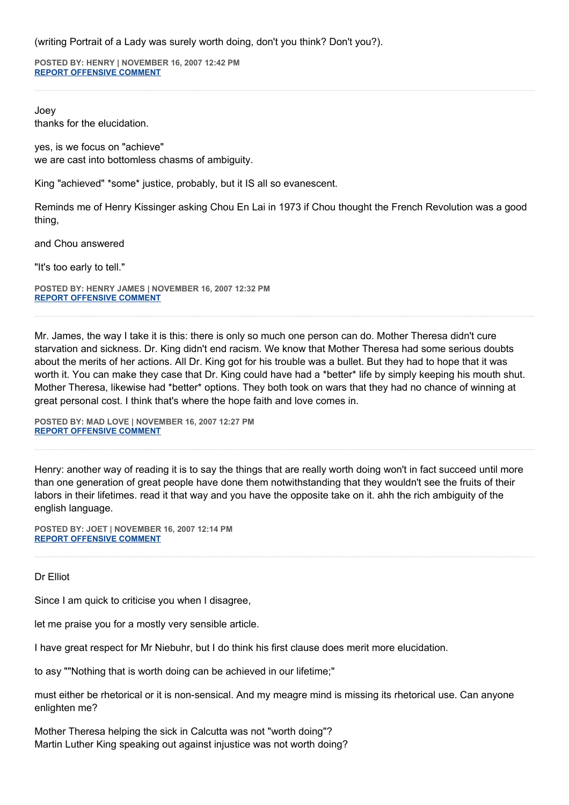(writing Portrait of a Lady was surely worth doing, don't you think? Don't you?).

**POSTED BY: HENRY | NOVEMBER 16, 2007 12:42 PM [REPORT OFFENSIVE COMMENT](mailto:blogs@washingtonpost.com?subject=On%20Faith%20Panelists%20Blog%20%20%7C%20%20Henry%20%20%7C%20%20)**

Joey thanks for the elucidation.

yes, is we focus on "achieve" we are cast into bottomless chasms of ambiguity.

King "achieved" \*some\* justice, probably, but it IS all so evanescent.

Reminds me of Henry Kissinger asking Chou En Lai in 1973 if Chou thought the French Revolution was a good thing,

and Chou answered

"It's too early to tell."

**POSTED BY: HENRY JAMES | NOVEMBER 16, 2007 12:32 PM [REPORT OFFENSIVE COMMENT](mailto:blogs@washingtonpost.com?subject=On%20Faith%20Panelists%20Blog%20%20%7C%20%20Henry%20James%20%20%7C%20%20)**

Mr. James, the way I take it is this: there is only so much one person can do. Mother Theresa didn't cure starvation and sickness. Dr. King didn't end racism. We know that Mother Theresa had some serious doubts about the merits of her actions. All Dr. King got for his trouble was a bullet. But they had to hope that it was worth it. You can make they case that Dr. King could have had a \*better\* life by simply keeping his mouth shut. Mother Theresa, likewise had \*better\* options. They both took on wars that they had no chance of winning at great personal cost. I think that's where the hope faith and love comes in.

**POSTED BY: MAD LOVE | NOVEMBER 16, 2007 12:27 PM [REPORT OFFENSIVE COMMENT](mailto:blogs@washingtonpost.com?subject=On%20Faith%20Panelists%20Blog%20%20%7C%20%20Mad%20Love%20%20%7C%20%20)**

Henry: another way of reading it is to say the things that are really worth doing won't in fact succeed until more than one generation of great people have done them notwithstanding that they wouldn't see the fruits of their labors in their lifetimes. read it that way and you have the opposite take on it. ahh the rich ambiguity of the english language.

**POSTED BY: JOET | NOVEMBER 16, 2007 12:14 PM [REPORT OFFENSIVE COMMENT](mailto:blogs@washingtonpost.com?subject=On%20Faith%20Panelists%20Blog%20%20%7C%20%20JoeT%20%20%7C%20%20)**

#### Dr Elliot

Since I am quick to criticise you when I disagree,

let me praise you for a mostly very sensible article.

I have great respect for Mr Niebuhr, but I do think his first clause does merit more elucidation.

to asy ""Nothing that is worth doing can be achieved in our lifetime;"

must either be rhetorical or it is non-sensical. And my meagre mind is missing its rhetorical use. Can anyone enlighten me?

Mother Theresa helping the sick in Calcutta was not "worth doing"? Martin Luther King speaking out against injustice was not worth doing?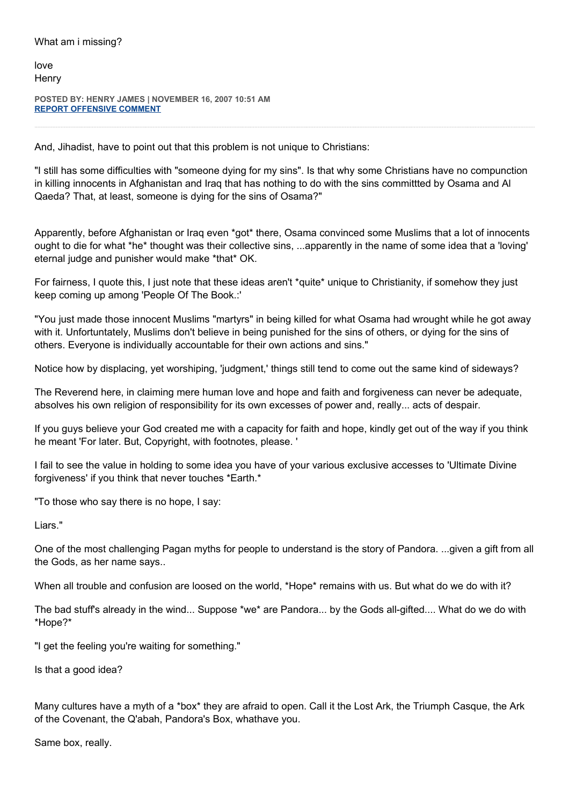love **Henry** 

**POSTED BY: HENRY JAMES | NOVEMBER 16, 2007 10:51 AM [REPORT OFFENSIVE COMMENT](mailto:blogs@washingtonpost.com?subject=On%20Faith%20Panelists%20Blog%20%20%7C%20%20Henry%20James%20%20%7C%20%20)**

And, Jihadist, have to point out that this problem is not unique to Christians:

"I still has some difficulties with "someone dying for my sins". Is that why some Christians have no compunction in killing innocents in Afghanistan and Iraq that has nothing to do with the sins committted by Osama and Al Qaeda? That, at least, someone is dying for the sins of Osama?"

Apparently, before Afghanistan or Iraq even \*got\* there, Osama convinced some Muslims that a lot of innocents ought to die for what \*he\* thought was their collective sins, ...apparently in the name of some idea that a 'loving' eternal judge and punisher would make \*that\* OK.

For fairness, I quote this, I just note that these ideas aren't \*quite\* unique to Christianity, if somehow they just keep coming up among 'People Of The Book.:'

"You just made those innocent Muslims "martyrs" in being killed for what Osama had wrought while he got away with it. Unfortuntately, Muslims don't believe in being punished for the sins of others, or dying for the sins of others. Everyone is individually accountable for their own actions and sins."

Notice how by displacing, yet worshiping, 'judgment,' things still tend to come out the same kind of sideways?

The Reverend here, in claiming mere human love and hope and faith and forgiveness can never be adequate, absolves his own religion of responsibility for its own excesses of power and, really... acts of despair.

If you guys believe your God created me with a capacity for faith and hope, kindly get out of the way if you think he meant 'For later. But, Copyright, with footnotes, please. '

I fail to see the value in holding to some idea you have of your various exclusive accesses to 'Ultimate Divine forgiveness' if you think that never touches \*Earth.\*

"To those who say there is no hope, I say:

Liars."

One of the most challenging Pagan myths for people to understand is the story of Pandora. ...given a gift from all the Gods, as her name says..

When all trouble and confusion are loosed on the world, \*Hope\* remains with us. But what do we do with it?

The bad stuff's already in the wind... Suppose \*we\* are Pandora... by the Gods all-gifted.... What do we do with \*Hope?\*

"I get the feeling you're waiting for something."

Is that a good idea?

Many cultures have a myth of a \*box\* they are afraid to open. Call it the Lost Ark, the Triumph Casque, the Ark of the Covenant, the Q'abah, Pandora's Box, whathave you.

Same box, really.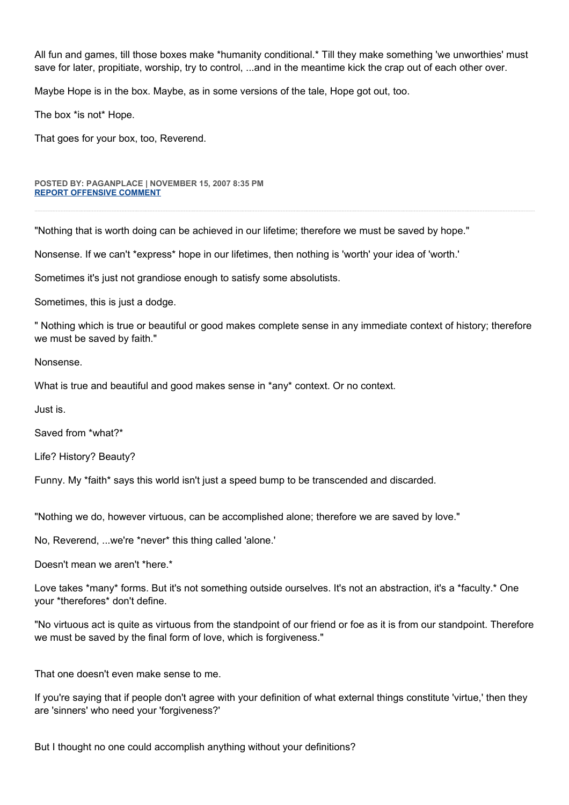All fun and games, till those boxes make \*humanity conditional.\* Till they make something 'we unworthies' must save for later, propitiate, worship, try to control, ...and in the meantime kick the crap out of each other over.

Maybe Hope is in the box. Maybe, as in some versions of the tale, Hope got out, too.

The box \*is not\* Hope.

That goes for your box, too, Reverend.

#### **POSTED BY: PAGANPLACE | NOVEMBER 15, 2007 8:35 PM [REPORT OFFENSIVE COMMENT](mailto:blogs@washingtonpost.com?subject=On%20Faith%20Panelists%20Blog%20%20%7C%20%20Paganplace%20%20%7C%20%20)**

"Nothing that is worth doing can be achieved in our lifetime; therefore we must be saved by hope."

Nonsense. If we can't \*express\* hope in our lifetimes, then nothing is 'worth' your idea of 'worth.'

Sometimes it's just not grandiose enough to satisfy some absolutists.

Sometimes, this is just a dodge.

" Nothing which is true or beautiful or good makes complete sense in any immediate context of history; therefore we must be saved by faith."

Nonsense.

What is true and beautiful and good makes sense in \*any\* context. Or no context.

Just is.

Saved from \*what?\*

Life? History? Beauty?

Funny. My \*faith\* says this world isn't just a speed bump to be transcended and discarded.

"Nothing we do, however virtuous, can be accomplished alone; therefore we are saved by love."

No, Reverend, ...we're \*never\* this thing called 'alone.'

Doesn't mean we aren't \*here.\*

Love takes \*many\* forms. But it's not something outside ourselves. It's not an abstraction, it's a \*faculty.\* One your \*therefores\* don't define.

"No virtuous act is quite as virtuous from the standpoint of our friend or foe as it is from our standpoint. Therefore we must be saved by the final form of love, which is forgiveness."

That one doesn't even make sense to me.

If you're saying that if people don't agree with your definition of what external things constitute 'virtue,' then they are 'sinners' who need your 'forgiveness?'

But I thought no one could accomplish anything without your definitions?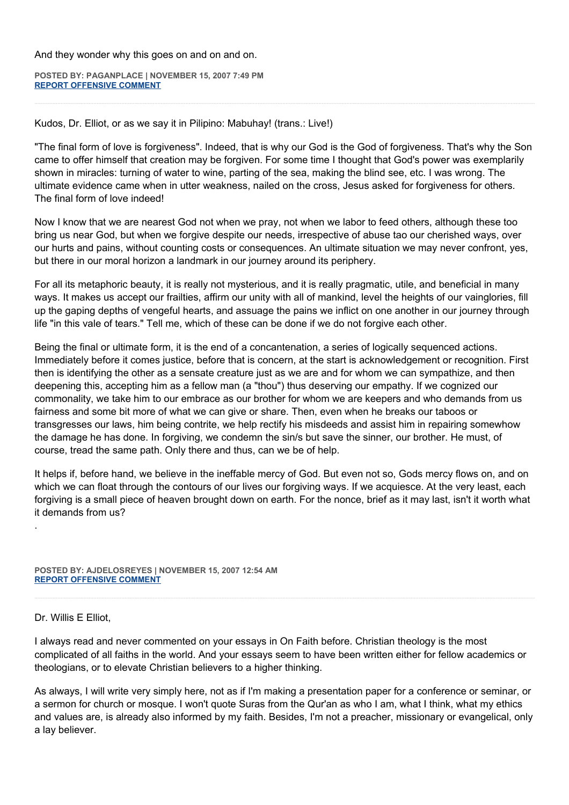And they wonder why this goes on and on and on.

**POSTED BY: PAGANPLACE | NOVEMBER 15, 2007 7:49 PM [REPORT OFFENSIVE COMMENT](mailto:blogs@washingtonpost.com?subject=On%20Faith%20Panelists%20Blog%20%20%7C%20%20Paganplace%20%20%7C%20%20)**

Kudos, Dr. Elliot, or as we say it in Pilipino: Mabuhay! (trans.: Live!)

"The final form of love is forgiveness". Indeed, that is why our God is the God of forgiveness. That's why the Son came to offer himself that creation may be forgiven. For some time I thought that God's power was exemplarily shown in miracles: turning of water to wine, parting of the sea, making the blind see, etc. I was wrong. The ultimate evidence came when in utter weakness, nailed on the cross, Jesus asked for forgiveness for others. The final form of love indeed!

Now I know that we are nearest God not when we pray, not when we labor to feed others, although these too bring us near God, but when we forgive despite our needs, irrespective of abuse tao our cherished ways, over our hurts and pains, without counting costs or consequences. An ultimate situation we may never confront, yes, but there in our moral horizon a landmark in our journey around its periphery.

For all its metaphoric beauty, it is really not mysterious, and it is really pragmatic, utile, and beneficial in many ways. It makes us accept our frailties, affirm our unity with all of mankind, level the heights of our vainglories, fill up the gaping depths of vengeful hearts, and assuage the pains we inflict on one another in our journey through life "in this vale of tears." Tell me, which of these can be done if we do not forgive each other.

Being the final or ultimate form, it is the end of a concantenation, a series of logically sequenced actions. Immediately before it comes justice, before that is concern, at the start is acknowledgement or recognition. First then is identifying the other as a sensate creature just as we are and for whom we can sympathize, and then deepening this, accepting him as a fellow man (a "thou") thus deserving our empathy. If we cognized our commonality, we take him to our embrace as our brother for whom we are keepers and who demands from us fairness and some bit more of what we can give or share. Then, even when he breaks our taboos or transgresses our laws, him being contrite, we help rectify his misdeeds and assist him in repairing somewhow the damage he has done. In forgiving, we condemn the sin/s but save the sinner, our brother. He must, of course, tread the same path. Only there and thus, can we be of help.

It helps if, before hand, we believe in the ineffable mercy of God. But even not so, Gods mercy flows on, and on which we can float through the contours of our lives our forgiving ways. If we acquiesce. At the very least, each forgiving is a small piece of heaven brought down on earth. For the nonce, brief as it may last, isn't it worth what it demands from us?

**POSTED BY: AJDELOSREYES | NOVEMBER 15, 2007 12:54 AM [REPORT OFFENSIVE COMMENT](mailto:blogs@washingtonpost.com?subject=On%20Faith%20Panelists%20Blog%20%20%7C%20%20aJdelosReyes%20%20%7C%20%20)**

#### Dr. Willis E Elliot,

.

I always read and never commented on your essays in On Faith before. Christian theology is the most complicated of all faiths in the world. And your essays seem to have been written either for fellow academics or theologians, or to elevate Christian believers to a higher thinking.

As always, I will write very simply here, not as if I'm making a presentation paper for a conference or seminar, or a sermon for church or mosque. I won't quote Suras from the Qur'an as who I am, what I think, what my ethics and values are, is already also informed by my faith. Besides, I'm not a preacher, missionary or evangelical, only a lay believer.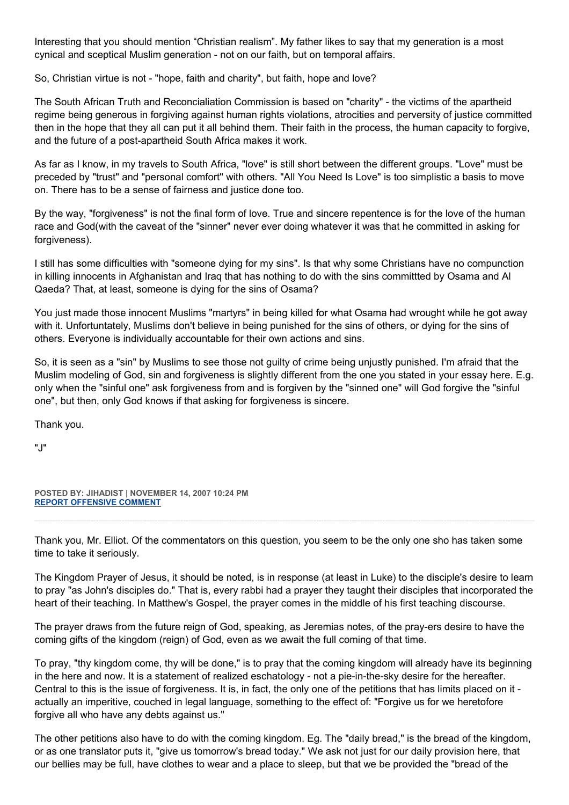Interesting that you should mention "Christian realism". My father likes to say that my generation is a most cynical and sceptical Muslim generation - not on our faith, but on temporal affairs.

So, Christian virtue is not - "hope, faith and charity", but faith, hope and love?

The South African Truth and Reconcialiation Commission is based on "charity" - the victims of the apartheid regime being generous in forgiving against human rights violations, atrocities and perversity of justice committed then in the hope that they all can put it all behind them. Their faith in the process, the human capacity to forgive, and the future of a post-apartheid South Africa makes it work.

As far as I know, in my travels to South Africa, "love" is still short between the different groups. "Love" must be preceded by "trust" and "personal comfort" with others. "All You Need Is Love" is too simplistic a basis to move on. There has to be a sense of fairness and justice done too.

By the way, "forgiveness" is not the final form of love. True and sincere repentence is for the love of the human race and God(with the caveat of the "sinner" never ever doing whatever it was that he committed in asking for forgiveness).

I still has some difficulties with "someone dying for my sins". Is that why some Christians have no compunction in killing innocents in Afghanistan and Iraq that has nothing to do with the sins committted by Osama and Al Qaeda? That, at least, someone is dying for the sins of Osama?

You just made those innocent Muslims "martyrs" in being killed for what Osama had wrought while he got away with it. Unfortuntately, Muslims don't believe in being punished for the sins of others, or dying for the sins of others. Everyone is individually accountable for their own actions and sins.

So, it is seen as a "sin" by Muslims to see those not guilty of crime being unjustly punished. I'm afraid that the Muslim modeling of God, sin and forgiveness is slightly different from the one you stated in your essay here. E.g. only when the "sinful one" ask forgiveness from and is forgiven by the "sinned one" will God forgive the "sinful one", but then, only God knows if that asking for forgiveness is sincere.

Thank you.

"J"

**POSTED BY: JIHADIST | NOVEMBER 14, 2007 10:24 PM [REPORT OFFENSIVE COMMENT](mailto:blogs@washingtonpost.com?subject=On%20Faith%20Panelists%20Blog%20%20%7C%20%20Jihadist%20%20%7C%20%20)**

Thank you, Mr. Elliot. Of the commentators on this question, you seem to be the only one sho has taken some time to take it seriously.

The Kingdom Prayer of Jesus, it should be noted, is in response (at least in Luke) to the disciple's desire to learn to pray "as John's disciples do." That is, every rabbi had a prayer they taught their disciples that incorporated the heart of their teaching. In Matthew's Gospel, the prayer comes in the middle of his first teaching discourse.

The prayer draws from the future reign of God, speaking, as Jeremias notes, of the pray-ers desire to have the coming gifts of the kingdom (reign) of God, even as we await the full coming of that time.

To pray, "thy kingdom come, thy will be done," is to pray that the coming kingdom will already have its beginning in the here and now. It is a statement of realized eschatology - not a pie-in-the-sky desire for the hereafter. Central to this is the issue of forgiveness. It is, in fact, the only one of the petitions that has limits placed on it actually an imperitive, couched in legal language, something to the effect of: "Forgive us for we heretofore forgive all who have any debts against us."

The other petitions also have to do with the coming kingdom. Eg. The "daily bread," is the bread of the kingdom, or as one translator puts it, "give us tomorrow's bread today." We ask not just for our daily provision here, that our bellies may be full, have clothes to wear and a place to sleep, but that we be provided the "bread of the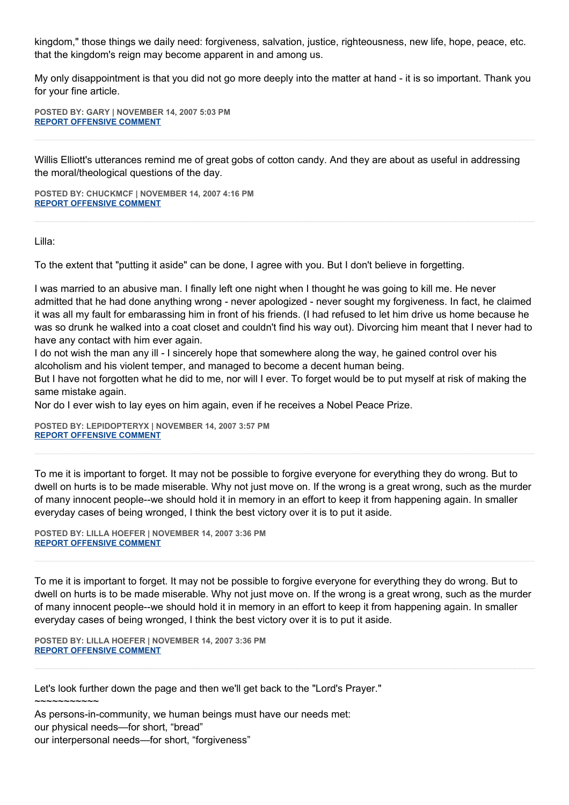kingdom," those things we daily need: forgiveness, salvation, justice, righteousness, new life, hope, peace, etc. that the kingdom's reign may become apparent in and among us.

My only disappointment is that you did not go more deeply into the matter at hand - it is so important. Thank you for your fine article.

**POSTED BY: GARY | NOVEMBER 14, 2007 5:03 PM [REPORT OFFENSIVE COMMENT](mailto:blogs@washingtonpost.com?subject=On%20Faith%20Panelists%20Blog%20%20%7C%20%20Gary%20%20%7C%20%20)**

Willis Elliott's utterances remind me of great gobs of cotton candy. And they are about as useful in addressing the moral/theological questions of the day.

**POSTED BY: CHUCKMCF | NOVEMBER 14, 2007 4:16 PM [REPORT OFFENSIVE COMMENT](mailto:blogs@washingtonpost.com?subject=On%20Faith%20Panelists%20Blog%20%20%7C%20%20chuckmcf%20%20%7C%20%20)**

Lilla:

To the extent that "putting it aside" can be done, I agree with you. But I don't believe in forgetting.

I was married to an abusive man. I finally left one night when I thought he was going to kill me. He never admitted that he had done anything wrong - never apologized - never sought my forgiveness. In fact, he claimed it was all my fault for embarassing him in front of his friends. (I had refused to let him drive us home because he was so drunk he walked into a coat closet and couldn't find his way out). Divorcing him meant that I never had to have any contact with him ever again.

I do not wish the man any ill - I sincerely hope that somewhere along the way, he gained control over his alcoholism and his violent temper, and managed to become a decent human being.

But I have not forgotten what he did to me, nor will I ever. To forget would be to put myself at risk of making the same mistake again.

Nor do I ever wish to lay eyes on him again, even if he receives a Nobel Peace Prize.

**POSTED BY: LEPIDOPTERYX | NOVEMBER 14, 2007 3:57 PM [REPORT OFFENSIVE COMMENT](mailto:blogs@washingtonpost.com?subject=On%20Faith%20Panelists%20Blog%20%20%7C%20%20lepidopteryx%20%20%7C%20%20)**

To me it is important to forget. It may not be possible to forgive everyone for everything they do wrong. But to dwell on hurts is to be made miserable. Why not just move on. If the wrong is a great wrong, such as the murder of many innocent people--we should hold it in memory in an effort to keep it from happening again. In smaller everyday cases of being wronged, I think the best victory over it is to put it aside.

**POSTED BY: LILLA HOEFER | NOVEMBER 14, 2007 3:36 PM [REPORT OFFENSIVE COMMENT](mailto:blogs@washingtonpost.com?subject=On%20Faith%20Panelists%20Blog%20%20%7C%20%20Lilla%20Hoefer%20%20%7C%20%20)**

To me it is important to forget. It may not be possible to forgive everyone for everything they do wrong. But to dwell on hurts is to be made miserable. Why not just move on. If the wrong is a great wrong, such as the murder of many innocent people--we should hold it in memory in an effort to keep it from happening again. In smaller everyday cases of being wronged, I think the best victory over it is to put it aside.

**POSTED BY: LILLA HOEFER | NOVEMBER 14, 2007 3:36 PM [REPORT OFFENSIVE COMMENT](mailto:blogs@washingtonpost.com?subject=On%20Faith%20Panelists%20Blog%20%20%7C%20%20Lilla%20Hoefer%20%20%7C%20%20)**

Let's look further down the page and then we'll get back to the "Lord's Prayer."  $\sim$  $\sim$  $\sim$  $\sim$  $\sim$  $\sim$  $\sim$  $\sim$  $\sim$ As persons-in-community, we human beings must have our needs met: our physical needs—for short, "bread"

our interpersonal needs—for short, "forgiveness"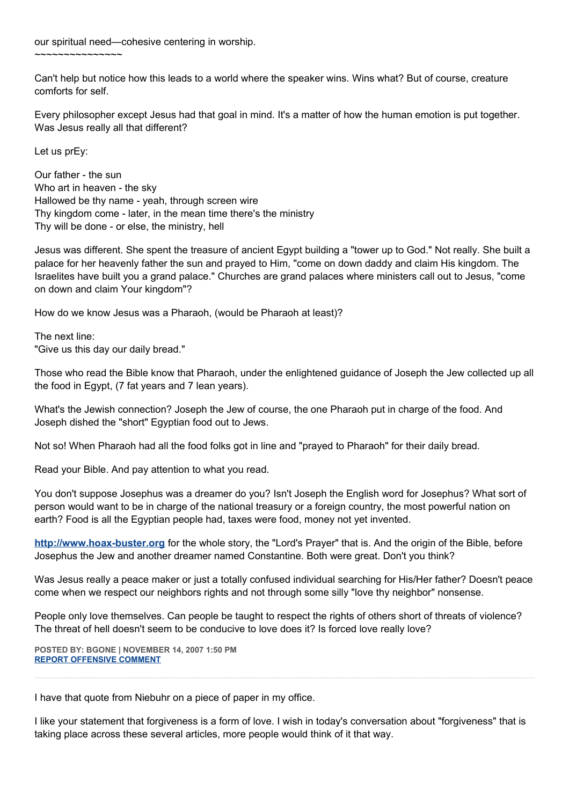our spiritual need—cohesive centering in worship.

~~~~~~~~~~~~~~~

Can't help but notice how this leads to a world where the speaker wins. Wins what? But of course, creature comforts for self.

Every philosopher except Jesus had that goal in mind. It's a matter of how the human emotion is put together. Was Jesus really all that different?

Let us prEy:

Our father - the sun Who art in heaven - the sky Hallowed be thy name - yeah, through screen wire Thy kingdom come - later, in the mean time there's the ministry Thy will be done - or else, the ministry, hell

Jesus was different. She spent the treasure of ancient Egypt building a "tower up to God." Not really. She built a palace for her heavenly father the sun and prayed to Him, "come on down daddy and claim His kingdom. The Israelites have built you a grand palace." Churches are grand palaces where ministers call out to Jesus, "come on down and claim Your kingdom"?

How do we know Jesus was a Pharaoh, (would be Pharaoh at least)?

The next line: "Give us this day our daily bread."

Those who read the Bible know that Pharaoh, under the enlightened guidance of Joseph the Jew collected up all the food in Egypt, (7 fat years and 7 lean years).

What's the Jewish connection? Joseph the Jew of course, the one Pharaoh put in charge of the food. And Joseph dished the "short" Egyptian food out to Jews.

Not so! When Pharaoh had all the food folks got in line and "prayed to Pharaoh" for their daily bread.

Read your Bible. And pay attention to what you read.

You don't suppose Josephus was a dreamer do you? Isn't Joseph the English word for Josephus? What sort of person would want to be in charge of the national treasury or a foreign country, the most powerful nation on earth? Food is all the Egyptian people had, taxes were food, money not yet invented.

**[http://www.hoax-buster.org](http://www.hoax-buster.org/)** for the whole story, the "Lord's Prayer" that is. And the origin of the Bible, before Josephus the Jew and another dreamer named Constantine. Both were great. Don't you think?

Was Jesus really a peace maker or just a totally confused individual searching for His/Her father? Doesn't peace come when we respect our neighbors rights and not through some silly "love thy neighbor" nonsense.

People only love themselves. Can people be taught to respect the rights of others short of threats of violence? The threat of hell doesn't seem to be conducive to love does it? Is forced love really love?

**POSTED BY: BGONE | NOVEMBER 14, 2007 1:50 PM [REPORT OFFENSIVE COMMENT](mailto:blogs@washingtonpost.com?subject=On%20Faith%20Panelists%20Blog%20%20%7C%20%20BGone%20%20%7C%20%20)**

I have that quote from Niebuhr on a piece of paper in my office.

I like your statement that forgiveness is a form of love. I wish in today's conversation about "forgiveness" that is taking place across these several articles, more people would think of it that way.